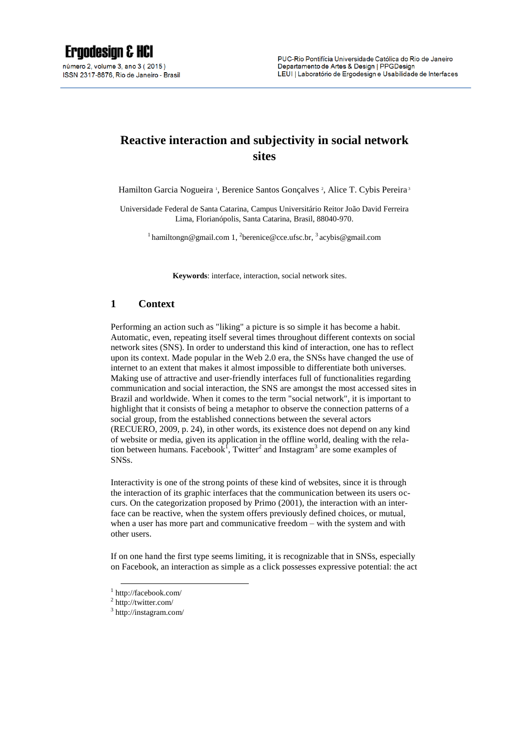# **Reactive interaction and subjectivity in social network sites**

Hamilton Garcia Nogueira<sup>1</sup>, Berenice Santos Gonçalves<sup>2</sup>, Alice T. Cybis Pereira<sup>3</sup>

Universidade Federal de Santa Catarina, Campus Universitário Reitor João David Ferreira Lima, Florianópolis, Santa Catarina, Brasil, 88040-970.

<sup>1</sup>hamiltongn@gmail.com 1, <sup>2</sup>[berenice@cce.ufsc.br,](mailto:2berenice@cce.ufsc.br) <sup>3</sup> [acybis@gmail.com](mailto:acybis@gmail.com)

**Keywords**: interface, interaction, social network sites.

### **1 Context**

Performing an action such as "liking" a picture is so simple it has become a habit. Automatic, even, repeating itself several times throughout different contexts on social network sites (SNS). In order to understand this kind of interaction, one has to reflect upon its context. Made popular in the Web 2.0 era, the SNSs have changed the use of internet to an extent that makes it almost impossible to differentiate both universes. Making use of attractive and user-friendly interfaces full of functionalities regarding communication and social interaction, the SNS are amongst the most accessed sites in Brazil and worldwide. When it comes to the term "social network", it is important to highlight that it consists of being a metaphor to observe the connection patterns of a social group, from the established connections between the several actors (RECUERO, 2009, p. 24), in other words, its existence does not depend on any kind of website or media, given its application in the offline world, dealing with the relation between humans. Facebook<sup>1</sup>, Twitter<sup>2</sup> and Instagram<sup>3</sup> are some examples of SNSs.

Interactivity is one of the strong points of these kind of websites, since it is through the interaction of its graphic interfaces that the communication between its users occurs. On the categorization proposed by Primo (2001), the interaction with an interface can be reactive, when the system offers previously defined choices, or mutual, when a user has more part and communicative freedom – with the system and with other users.

If on one hand the first type seems limiting, it is recognizable that in SNSs, especially on Facebook, an interaction as simple as a click possesses expressive potential: the act

1

<sup>1</sup> http://facebook.com/

 $2$  http://twitter.com/

<sup>3</sup> http://instagram.com/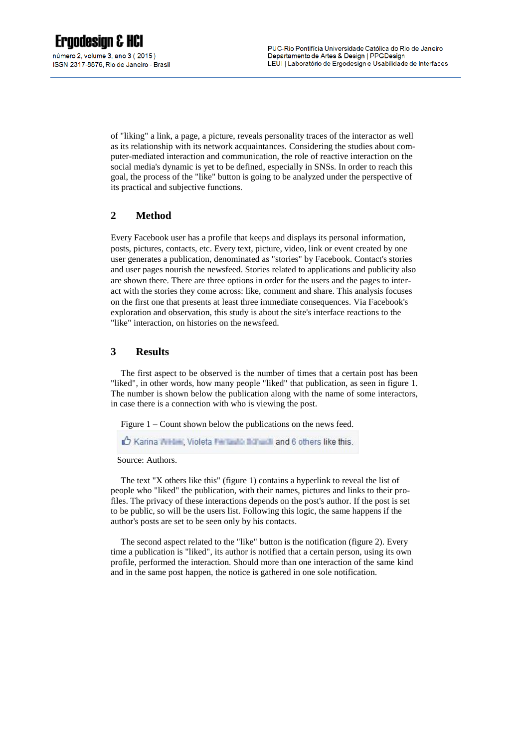of "liking" a link, a page, a picture, reveals personality traces of the interactor as well as its relationship with its network acquaintances. Considering the studies about computer-mediated interaction and communication, the role of reactive interaction on the social media's dynamic is yet to be defined, especially in SNSs. In order to reach this goal, the process of the "like" button is going to be analyzed under the perspective of its practical and subjective functions.

# **2 Method**

Every Facebook user has a profile that keeps and displays its personal information, posts, pictures, contacts, etc. Every text, picture, video, link or event created by one user generates a publication, denominated as "stories" by Facebook. Contact's stories and user pages nourish the newsfeed. Stories related to applications and publicity also are shown there. There are three options in order for the users and the pages to interact with the stories they come across: like, comment and share. This analysis focuses on the first one that presents at least three immediate consequences. Via Facebook's exploration and observation, this study is about the site's interface reactions to the "like" interaction, on histories on the newsfeed.

## **3 Results**

The first aspect to be observed is the number of times that a certain post has been "liked", in other words, how many people "liked" that publication, as seen in figure 1. The number is shown below the publication along with the name of some interactors, in case there is a connection with who is viewing the post.

Figure 1 – Count shown below the publications on the news feed.

A Karina Arthur, Violeta Francisco Burns & and 6 others like this.

Source: Authors.

The text "X others like this" (figure 1) contains a hyperlink to reveal the list of people who "liked" the publication, with their names, pictures and links to their profiles. The privacy of these interactions depends on the post's author. If the post is set to be public, so will be the users list. Following this logic, the same happens if the author's posts are set to be seen only by his contacts.

The second aspect related to the "like" button is the notification (figure 2). Every time a publication is "liked", its author is notified that a certain person, using its own profile, performed the interaction. Should more than one interaction of the same kind and in the same post happen, the notice is gathered in one sole notification.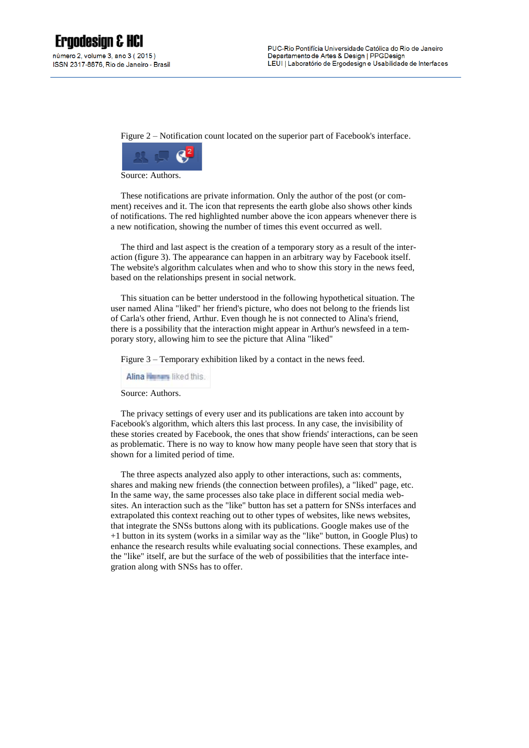Figure 2 – Notification count located on the superior part of Facebook's interface.



Source: Authors.

These notifications are private information. Only the author of the post (or comment) receives and it. The icon that represents the earth globe also shows other kinds of notifications. The red highlighted number above the icon appears whenever there is a new notification, showing the number of times this event occurred as well.

The third and last aspect is the creation of a temporary story as a result of the interaction (figure 3). The appearance can happen in an arbitrary way by Facebook itself. The website's algorithm calculates when and who to show this story in the news feed, based on the relationships present in social network.

This situation can be better understood in the following hypothetical situation. The user named Alina "liked" her friend's picture, who does not belong to the friends list of Carla's other friend, Arthur. Even though he is not connected to Alina's friend, there is a possibility that the interaction might appear in Arthur's newsfeed in a temporary story, allowing him to see the picture that Alina "liked"

Figure 3 – Temporary exhibition liked by a contact in the news feed.

Alina **Kunstan** liked this.

Source: Authors.

The privacy settings of every user and its publications are taken into account by Facebook's algorithm, which alters this last process. In any case, the invisibility of these stories created by Facebook, the ones that show friends' interactions, can be seen as problematic. There is no way to know how many people have seen that story that is shown for a limited period of time.

The three aspects analyzed also apply to other interactions, such as: comments, shares and making new friends (the connection between profiles), a "liked" page, etc. In the same way, the same processes also take place in different social media websites. An interaction such as the "like" button has set a pattern for SNSs interfaces and extrapolated this context reaching out to other types of websites, like news websites, that integrate the SNSs buttons along with its publications. Google makes use of the +1 button in its system (works in a similar way as the "like" button, in Google Plus) to enhance the research results while evaluating social connections. These examples, and the "like" itself, are but the surface of the web of possibilities that the interface integration along with SNSs has to offer.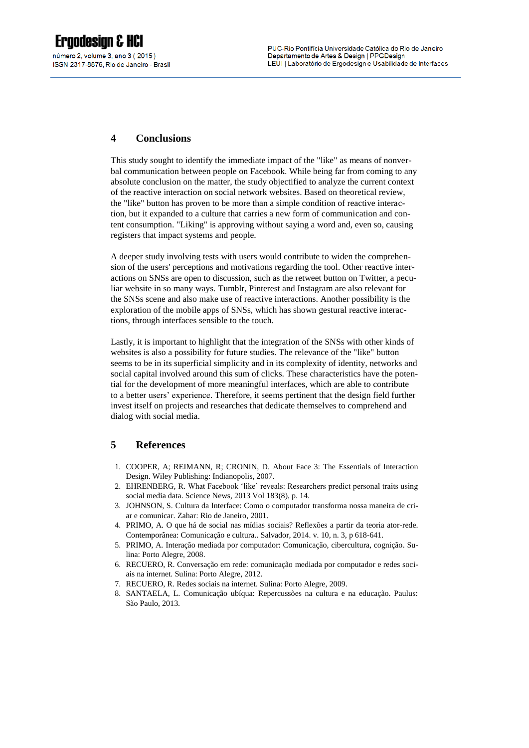# **4 Conclusions**

This study sought to identify the immediate impact of the "like" as means of nonverbal communication between people on Facebook. While being far from coming to any absolute conclusion on the matter, the study objectified to analyze the current context of the reactive interaction on social network websites. Based on theoretical review, the "like" button has proven to be more than a simple condition of reactive interaction, but it expanded to a culture that carries a new form of communication and content consumption. "Liking" is approving without saying a word and, even so, causing registers that impact systems and people.

A deeper study involving tests with users would contribute to widen the comprehension of the users' perceptions and motivations regarding the tool. Other reactive interactions on SNSs are open to discussion, such as the retweet button on Twitter, a peculiar website in so many ways. Tumblr, Pinterest and Instagram are also relevant for the SNSs scene and also make use of reactive interactions. Another possibility is the exploration of the mobile apps of SNSs, which has shown gestural reactive interactions, through interfaces sensible to the touch.

Lastly, it is important to highlight that the integration of the SNSs with other kinds of websites is also a possibility for future studies. The relevance of the "like" button seems to be in its superficial simplicity and in its complexity of identity, networks and social capital involved around this sum of clicks. These characteristics have the potential for the development of more meaningful interfaces, which are able to contribute to a better users' experience. Therefore, it seems pertinent that the design field further invest itself on projects and researches that dedicate themselves to comprehend and dialog with social media.

### **5 References**

- 1. COOPER, A; REIMANN, R; CRONIN, D. About Face 3: The Essentials of Interaction Design. Wiley Publishing: Indianopolis, 2007.
- 2. EHRENBERG, R. What Facebook 'like' reveals: Researchers predict personal traits using social media data. Science News, 2013 Vol 183(8), p. 14.
- 3. JOHNSON, S. Cultura da Interface: Como o computador transforma nossa maneira de criar e comunicar. Zahar: Rio de Janeiro, 2001.
- 4. PRIMO, A. O que há de social nas mídias sociais? Reflexões a partir da teoria ator-rede. Contemporânea: Comunicação e cultura.. Salvador, 2014. v. 10, n. 3, p 618-641.
- 5. PRIMO, A. Interação mediada por computador: Comunicação, cibercultura, cognição. Sulina: Porto Alegre, 2008.
- 6. RECUERO, R. Conversação em rede: comunicação mediada por computador e redes sociais na internet. Sulina: Porto Alegre, 2012.
- 7. RECUERO, R. Redes sociais na internet. Sulina: Porto Alegre, 2009.
- 8. SANTAELA, L. Comunicação ubíqua: Repercussões na cultura e na educação. Paulus: São Paulo, 2013.